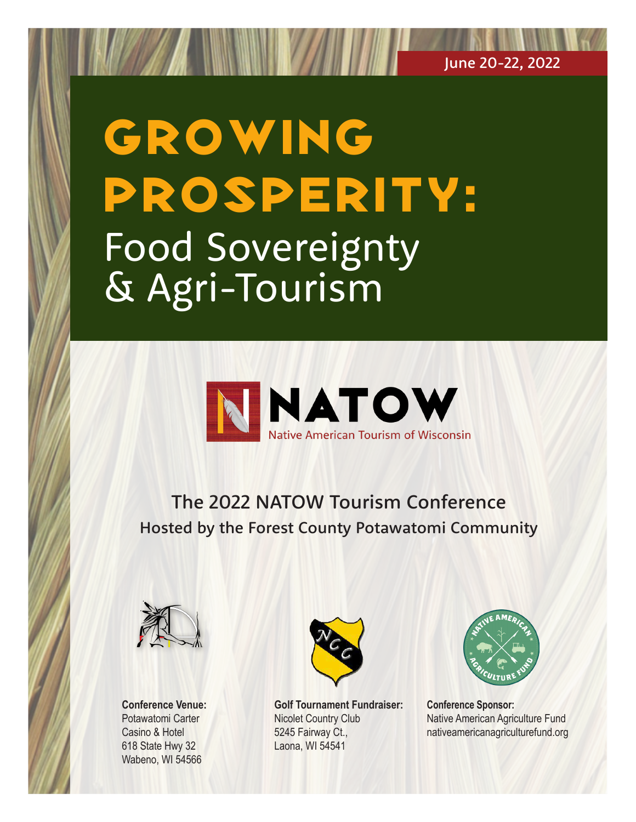# GROWING Prosperity: Food Sovereignty & Agri-Tourism



The 2022 NATOW Tourism Conference Hosted by the Forest County Potawatomi Community



**Conference Venue:**  Potawatomi Carter Casino & Hotel 618 State Hwy 32 Wabeno, WI 54566



**Golf Tournament Fundraiser:** Nicolet Country Club 5245 Fairway Ct., Laona, WI 54541



**Conference Sponsor:** Native American Agriculture Fund nativeamericanagriculturefund.org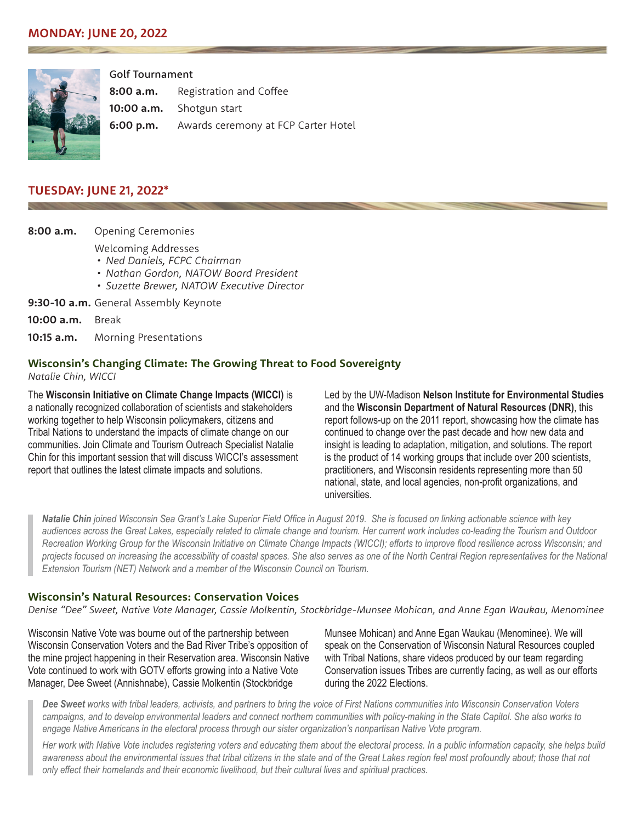

Golf Tournament

**8:00 a.m.** Registration and Coffee

**10:00 a.m.** Shotgun start

**6:00 p.m.** Awards ceremony at FCP Carter Hotel

## **TUESDAY: JUNE 21, 2022\***

**8:00 a.m.** Opening Ceremonies

Welcoming Addresses

- *• Ned Daniels, FCPC Chairman*
- *• Nathan Gordon, NATOW Board President*
- *• Suzette Brewer, NATOW Executive Director*

**9:30-10 a.m.** General Assembly Keynote

**10:00 a.m.** Break

**10:15 a.m.** Morning Presentations

#### **Wisconsin's Changing Climate: The Growing Threat to Food Sovereignty**

*Natalie Chin, WICCI*

The **[Wisconsin Initiative on Climate Change Impacts \(WICCI\)](https://wicci.wisc.edu/)** is a nationally recognized collaboration of scientists and stakeholders working together to help Wisconsin policymakers, citizens and Tribal Nations to understand the impacts of climate change on our communities. Join Climate and Tourism Outreach Specialist Natalie Chin for this important session that will discuss WICCI's assessment report that outlines the latest climate impacts and solutions.

Led by the UW-Madison **[Nelson Institute for Environmental Studies](https://nelson.wisc.edu/)** and the **[Wisconsin Department of Natural Resources \(DNR\)](https://dnr.wisconsin.gov/)**, this report follows-up on the 2011 report, showcasing how the climate has continued to change over the past decade and how new data and insight is leading to adaptation, mitigation, and solutions. The report is the product of 14 working groups that include over 200 scientists, practitioners, and Wisconsin residents representing more than 50 national, state, and local agencies, non-profit organizations, and universities.

*Natalie Chin joined Wisconsin Sea Grant's Lake Superior Field Office in August 2019. She is focused on linking actionable science with key audiences across the Great Lakes, especially related to climate change and tourism. Her current work includes co-leading the Tourism and Outdoor Recreation Working Group for the Wisconsin Initiative on Climate Change Impacts (WICCI); efforts to improve flood resilience across Wisconsin; and projects focused on increasing the accessibility of coastal spaces. She also serves as one of the North Central Region representatives for the National Extension Tourism (NET) Network and a member of the Wisconsin Council on Tourism.*

#### **Wisconsin's Natural Resources: Conservation Voices**

*Denise "Dee" Sweet, Native Vote Manager, Cassie Molkentin, Stockbridge-Munsee Mohican, and Anne Egan Waukau, Menominee*

Wisconsin Native Vote was bourne out of the partnership between Wisconsin Conservation Voters and the Bad River Tribe's opposition of the mine project happening in their Reservation area. Wisconsin Native Vote continued to work with GOTV efforts growing into a Native Vote Manager, Dee Sweet (Annishnabe), Cassie Molkentin (Stockbridge

Munsee Mohican) and Anne Egan Waukau (Menominee). We will speak on the Conservation of Wisconsin Natural Resources coupled with Tribal Nations, share videos produced by our team regarding Conservation issues Tribes are currently facing, as well as our efforts during the 2022 Elections.

*Dee Sweet works with tribal leaders, activists, and partners to bring the voice of First Nations communities into Wisconsin Conservation Voters campaigns, and to develop environmental leaders and connect northern communities with policy-making in the State Capitol. She also works to engage Native Americans in the electoral process through our sister organization's nonpartisan Native Vote program.*

*Her work with Native Vote includes registering voters and educating them about the electoral process. In a public information capacity, she helps build*  awareness about the environmental issues that tribal citizens in the state and of the Great Lakes region feel most profoundly about; those that not *only effect their homelands and their economic livelihood, but their cultural lives and spiritual practices.*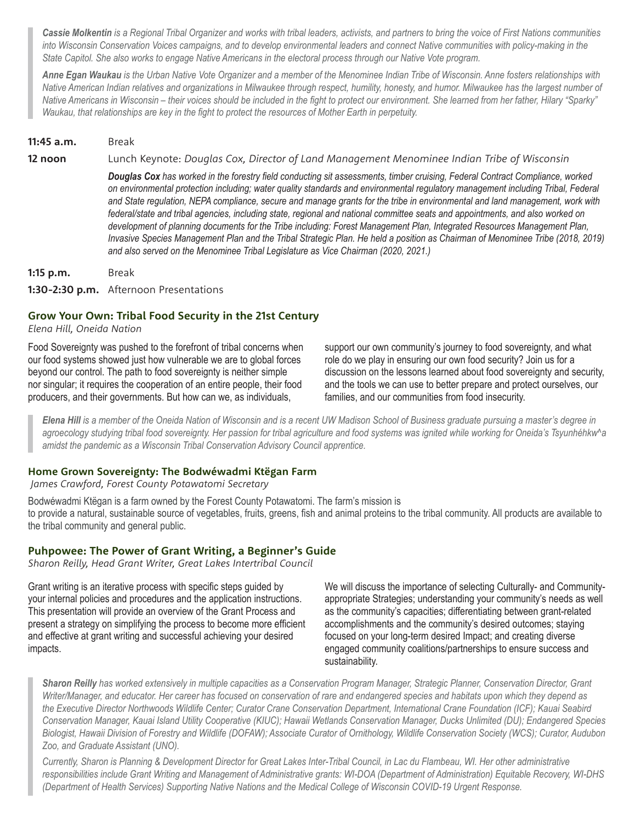*Cassie Molkentin is a Regional Tribal Organizer and works with tribal leaders, activists, and partners to bring the voice of First Nations communities into Wisconsin Conservation Voices campaigns, and to develop environmental leaders and connect Native communities with policy-making in the State Capitol. She also works to engage Native Americans in the electoral process through our Native Vote program.*

*Anne Egan Waukau is the Urban Native Vote Organizer and a member of the Menominee Indian Tribe of Wisconsin. Anne fosters relationships with Native American Indian relatives and organizations in Milwaukee through respect, humility, honesty, and humor. Milwaukee has the largest number of Native Americans in Wisconsin – their voices should be included in the fight to protect our environment. She learned from her father, Hilary "Sparky" Waukau, that relationships are key in the fight to protect the resources of Mother Earth in perpetuity.*

#### **11:45 a.m.** Break

**12 noon** Lunch Keynote: *Douglas Cox, Director of Land Management Menominee Indian Tribe of Wisconsin*

*Douglas Cox has worked in the forestry field conducting sit assessments, timber cruising, Federal Contract Compliance, worked on environmental protection including; water quality standards and environmental regulatory management including Tribal, Federal and State regulation, NEPA compliance, secure and manage grants for the tribe in environmental and land management, work with federal/state and tribal agencies, including state, regional and national committee seats and appointments, and also worked on*  development of planning documents for the Tribe including: Forest Management Plan, Integrated Resources Management Plan, *Invasive Species Management Plan and the Tribal Strategic Plan. He held a position as Chairman of Menominee Tribe (2018, 2019) and also served on the Menominee Tribal Legislature as Vice Chairman (2020, 2021.)*

| 1:15 p.m. | Break                                  |
|-----------|----------------------------------------|
|           | 1:30-2:30 p.m. Afternoon Presentations |

## **Grow Your Own: Tribal Food Security in the 21st Century**

*Elena Hill, Oneida Nation*

Food Sovereignty was pushed to the forefront of tribal concerns when our food systems showed just how vulnerable we are to global forces beyond our control. The path to food sovereignty is neither simple nor singular; it requires the cooperation of an entire people, their food producers, and their governments. But how can we, as individuals,

support our own community's journey to food sovereignty, and what role do we play in ensuring our own food security? Join us for a discussion on the lessons learned about food sovereignty and security, and the tools we can use to better prepare and protect ourselves, our families, and our communities from food insecurity.

*Elena Hill is a member of the Oneida Nation of Wisconsin and is a recent UW Madison School of Business graduate pursuing a master's degree in agroecology studying tribal food sovereignty. Her passion for tribal agriculture and food systems was ignited while working for Oneida's Tsyunhéhkw^a amidst the pandemic as a Wisconsin Tribal Conservation Advisory Council apprentice.*

#### **Home Grown Sovereignty: The Bodwéwadmi Ktëgan Farm**

 *James Crawford, Forest County Potawatomi Secretary*

Bodwéwadmi Ktëgan is a farm owned by the Forest County Potawatomi. The farm's mission is to provide a natural, sustainable source of vegetables, fruits, greens, fish and animal proteins to the tribal community. All products are available to the tribal community and general public.

## **Puhpowee: The Power of Grant Writing, a Beginner's Guide**

*Sharon Reilly, Head Grant Writer, Great Lakes Intertribal Council*

Grant writing is an iterative process with specific steps guided by your internal policies and procedures and the application instructions. This presentation will provide an overview of the Grant Process and present a strategy on simplifying the process to become more efficient and effective at grant writing and successful achieving your desired impacts.

We will discuss the importance of selecting Culturally- and Communityappropriate Strategies; understanding your community's needs as well as the community's capacities; differentiating between grant-related accomplishments and the community's desired outcomes; staying focused on your long-term desired Impact; and creating diverse engaged community coalitions/partnerships to ensure success and sustainability.

*Sharon Reilly has worked extensively in multiple capacities as a Conservation Program Manager, Strategic Planner, Conservation Director, Grant Writer/Manager, and educator. Her career has focused on conservation of rare and endangered species and habitats upon which they depend as the Executive Director Northwoods Wildlife Center; Curator Crane Conservation Department, International Crane Foundation (ICF); Kauai Seabird Conservation Manager, Kauai Island Utility Cooperative (KIUC); Hawaii Wetlands Conservation Manager, Ducks Unlimited (DU); Endangered Species Biologist, Hawaii Division of Forestry and Wildlife (DOFAW); Associate Curator of Ornithology, Wildlife Conservation Society (WCS); Curator, Audubon Zoo, and Graduate Assistant (UNO).*

*Currently, Sharon is Planning & Development Director for Great Lakes Inter-Tribal Council, in Lac du Flambeau, WI. Her other administrative responsibilities include Grant Writing and Management of Administrative grants: WI-DOA (Department of Administration) Equitable Recovery, WI-DHS (Department of Health Services) Supporting Native Nations and the Medical College of Wisconsin COVID-19 Urgent Response.*